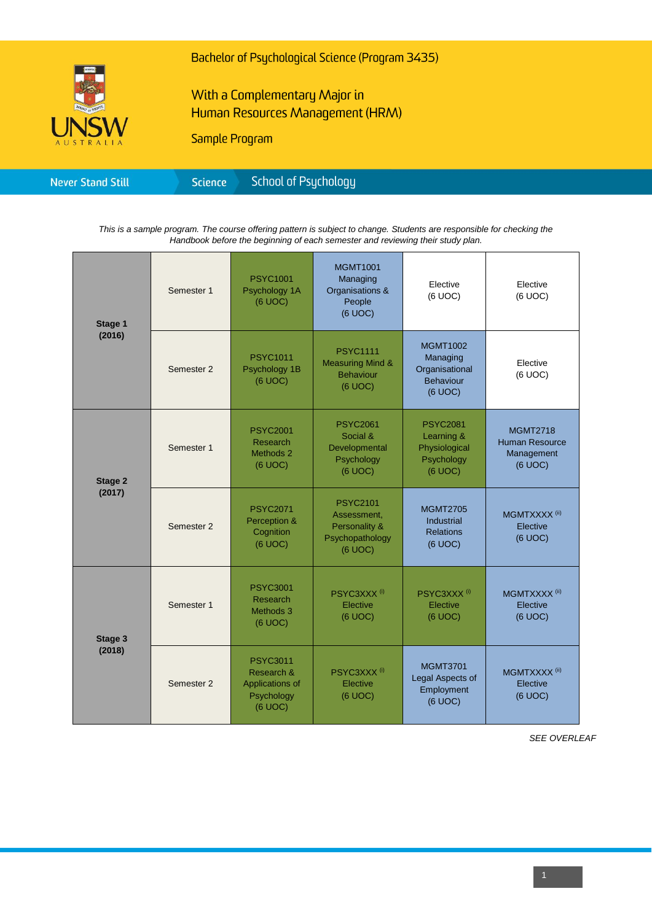

Bachelor of Psychological Science (Program 3435)

## With a Complementary Major in Human Resources Management (HRM)

Sample Program

*This is a sample program. The course offering pattern is subject to change. Students are responsible for checking the Handbook before the beginning of each semester and reviewing their study plan.*

| Stage 1<br>(2016)        | Semester 1 | <b>PSYC1001</b><br>Psychology 1A<br>(6 UOC)                               | <b>MGMT1001</b><br>Managing<br>Organisations &<br>People<br>(6 UOC)           | Elective<br>(6 UOC)                                                          | Elective<br>(6 UOC)                                               |
|--------------------------|------------|---------------------------------------------------------------------------|-------------------------------------------------------------------------------|------------------------------------------------------------------------------|-------------------------------------------------------------------|
|                          | Semester 2 | <b>PSYC1011</b><br>Psychology 1B<br>(6 UOC)                               | <b>PSYC1111</b><br><b>Measuring Mind &amp;</b><br><b>Behaviour</b><br>(6 UOC) | <b>MGMT1002</b><br>Managing<br>Organisational<br><b>Behaviour</b><br>(6 UOC) | Elective<br>(6 UOC)                                               |
| <b>Stage 2</b><br>(2017) | Semester 1 | <b>PSYC2001</b><br><b>Research</b><br>Methods 2<br>(6 UOC)                | <b>PSYC2061</b><br>Social &<br>Developmental<br>Psychology<br>(6 UOC)         | <b>PSYC2081</b><br>Learning &<br>Physiological<br>Psychology<br>(6 UOC)      | <b>MGMT2718</b><br><b>Human Resource</b><br>Management<br>(6 UOC) |
|                          | Semester 2 | <b>PSYC2071</b><br>Perception &<br>Cognition<br>(6 UOC)                   | <b>PSYC2101</b><br>Assessment,<br>Personality &<br>Psychopathology<br>(6 UOC) | <b>MGMT2705</b><br>Industrial<br><b>Relations</b><br>(6 UOC)                 | MGMTXXXX <sup>(ii)</sup><br>Elective<br>(6 UOC)                   |
| Stage 3<br>(2018)        | Semester 1 | <b>PSYC3001</b><br>Research<br>Methods 3<br>(6 UOC)                       | PSYC3XXX <sup>(i)</sup><br>Elective<br>(6 UOC)                                | PSYC3XXX <sup>(i)</sup><br>Elective<br>(6 UOC)                               | MGMTXXXX <sup>(ii)</sup><br>Elective<br>(6 UOC)                   |
|                          | Semester 2 | <b>PSYC3011</b><br>Research &<br>Applications of<br>Psychology<br>(6 UOC) | PSYC3XXX <sup>(i)</sup><br>Elective<br>(6 UOC)                                | <b>MGMT3701</b><br>Legal Aspects of<br>Employment<br>(6 UOC)                 | MGMTXXXX <sup>(ii)</sup><br>Elective<br>(6 UOC)                   |

*SEE OVERLEAF*